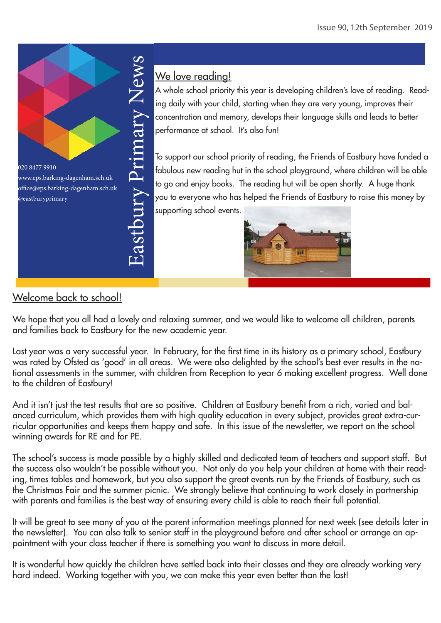

# We love reading!

A whole school priority this year is developing children's love of reading. Reading daily with your child, starting when they are very young, improves their concentration and memory, develops their language skills and leads to better performance at school. It's also fun!

To support our school priority of reading, the Friends of Eastbury have funded a fabulous new reading hut in the school playground, where children will be able to go and enjoy books. The reading hut will be open shortly. A huge thank you to everyone who has helped the Friends of Eastbury to raise this money by supporting school events.



## Welcome back to school!

We hope that you all had a lovely and relaxing summer, and we would like to welcome all children, parents and families back to Eastbury for the new academic year.

Last year was a very successful year. In February, for the first time in its history as a primary school, Eastbury was rated by Ofsted as 'good' in all areas. We were also delighted by the school's best ever results in the national assessments in the summer, with children from Reception to year 6 making excellent progress. Well done to the children of Eastbury!

And it isn't just the test results that are so positive. Children at Eastbury benefit from a rich, varied and balanced curriculum, which provides them with high quality education in every subject, provides great extra-curricular opportunities and keeps them happy and safe. In this issue of the newsletter, we report on the school winning awards for RE and for PE.

The school's success is made possible by a highly skilled and dedicated team of teachers and support staff. But the success also wouldn't be possible without you. Not only do you help your children at home with their reading, times tables and homework, but you also support the great events run by the Friends of Eastbury, such as the Christmas Fair and the summer picnic. We strongly believe that continuing to work closely in partnership with parents and families is the best way of ensuring every child is able to reach their full potential.

It will be great to see many of you at the parent information meetings planned for next week (see details later in the newsletter). You can also talk to senior staff in the playground before and after school or arrange an appointment with your class teacher if there is something you want to discuss in more detail.

It is wonderful how quickly the children have settled back into their classes and they are already working very hard indeed. Working together with you, we can make this year even better than the last!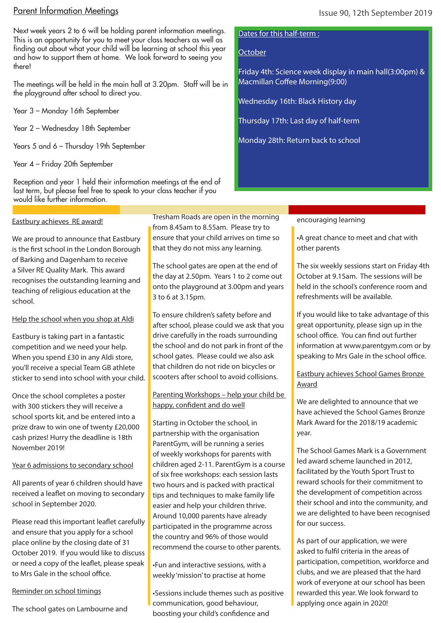## Parent Information Meetings

Next week years 2 to 6 will be holding parent information meetings. This is an opportunity for you to meet your class teachers as well as finding out about what your child will be learning at school this year and how to support them at home. We look forward to seeing you there!

The meetings will be held in the main hall at 3.20pm. Staff will be in the playground after school to direct you.

Year 3 – Monday 16th September

Year 2 – Wednesday 18th September

Years 5 and 6 – Thursday 19th September

Year 4 – Friday 20th September

Reception and year 1 held their information meetings at the end of last term, but please feel free to speak to your class teacher if you would like further information.

#### Eastbury achieves RE award!

We are proud to announce that Eastbury is the first school in the London Borough of Barking and Dagenham to receive a Silver RE Quality Mark. This award recognises the outstanding learning and teaching of religious education at the school.

### Help the school when you shop at Aldi

Eastbury is taking part in a fantastic competition and we need your help. When you spend £30 in any Aldi store, you'll receive a special Team GB athlete sticker to send into school with your child.

Once the school completes a poster with 300 stickers they will receive a school sports kit, and be entered into a prize draw to win one of twenty £20,000 cash prizes! Hurry the deadline is 18th November 2019!

### Year 6 admissions to secondary school

All parents of year 6 children should have received a leaflet on moving to secondary school in September 2020.

Please read this important leaflet carefully and ensure that you apply for a school place online by the closing date of 31 October 2019. If you would like to discuss or need a copy of the leaflet, please speak to Mrs Gale in the school office.

#### Reminder on school timings

The school gates on Lambourne and

Tresham Roads are open in the morning from 8.45am to 8.55am. Please try to ensure that your child arrives on time so that they do not miss any learning.

The school gates are open at the end of the day at 2.50pm. Years 1 to 2 come out onto the playground at 3.00pm and years 3 to 6 at 3.15pm.

To ensure children's safety before and after school, please could we ask that you drive carefully in the roads surrounding the school and do not park in front of the school gates. Please could we also ask that children do not ride on bicycles or scooters after school to avoid collisions.

Parenting Workshops – help your child be happy, confident and do well

Starting in October the school, in partnership with the organisation ParentGym, will be running a series of weekly workshops for parents with children aged 2-11. ParentGym is a course of six free workshops: each session lasts two hours and is packed with practical tips and techniques to make family life easier and help your children thrive. Around 10,000 parents have already participated in the programme across the country and 96% of those would recommend the course to other parents.

•Fun and interactive sessions, with a weekly 'mission' to practise at home

•Sessions include themes such as positive communication, good behaviour, boosting your child's confidence and

#### Dates for this half-term :

### **October**

Friday 4th: Science week display in main hall(3:00pm) & Macmillan Coffee Morning(9:00)

Wednesday 16th: Black History day

Thursday 17th: Last day of half-term

Monday 28th: Return back to school

### encouraging learning

•A great chance to meet and chat with other parents

The six weekly sessions start on Friday 4th October at 9.15am. The sessions will be held in the school's conference room and refreshments will be available.

If you would like to take advantage of this great opportunity, please sign up in the school office. You can find out further information at www.parentgym.com or by speaking to Mrs Gale in the school office.

## Eastbury achieves School Games Bronze Award

We are delighted to announce that we have achieved the School Games Bronze Mark Award for the 2018/19 academic year.

The School Games Mark is a Government led award scheme launched in 2012, facilitated by the Youth Sport Trust to reward schools for their commitment to the development of competition across their school and into the community, and we are delighted to have been recognised for our success.

As part of our application, we were asked to fulfil criteria in the areas of participation, competition, workforce and clubs, and we are pleased that the hard work of everyone at our school has been rewarded this year. We look forward to applying once again in 2020!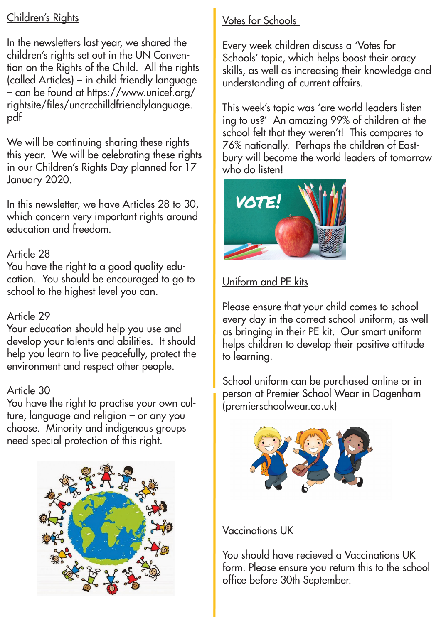# Children's Rights

In the newsletters last year, we shared the children's rights set out in the UN Convention on the Rights of the Child. All the rights (called Articles) – in child friendly language – can be found at https://www.unicef.org/ rightsite/files/uncrcchilldfriendlylanguage. pdf

We will be continuing sharing these rights this year. We will be celebrating these rights in our Children's Rights Day planned for 17 January 2020.

In this newsletter, we have Articles 28 to 30, which concern very important rights around education and freedom.

# Article 28

You have the right to a good quality education. You should be encouraged to go to school to the highest level you can.

## Article 29

Your education should help you use and develop your talents and abilities. It should help you learn to live peacefully, protect the environment and respect other people.

## Article 30

You have the right to practise your own culture, language and religion – or any you choose. Minority and indigenous groups need special protection of this right.



# Votes for Schools

every week cniiaren aiscuss a votes for<br>Schools' topic, which helps boost their oracy Every week children discuss a 'Votes for skills, as well as increasing their knowledge and understanding of current affairs.

This week's topic was 'are world leaders listening to us?' An amazing 99% of children at the school felt that they weren't! This compares to 76% nationally. Perhaps the children of Eastbury will become the world leaders of tomorrow who do listen!



# Uniform and PE kits

Please ensure that your child comes to school every day in the correct school uniform, as well as bringing in their PE kit. Our smart uniform helps children to develop their positive attitude to learning.

School uniform can be purchased online or in person at Premier School Wear in Dagenham (premierschoolwear.co.uk)



# Vaccinations UK

You should have recieved a Vaccinations UK form. Please ensure you return this to the school office before 30th September.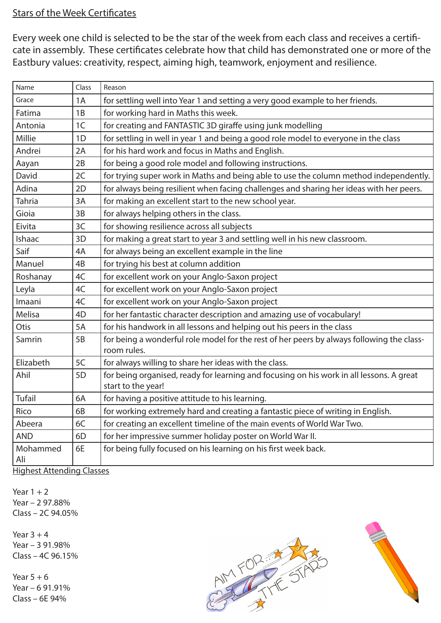## Stars of the Week Certificates

Every week one child is selected to be the star of the week from each class and receives a certificate in assembly. These certificates celebrate how that child has demonstrated one or more of the Eastbury values: creativity, respect, aiming high, teamwork, enjoyment and resilience.

| Class          | Reason                                                                                                         |
|----------------|----------------------------------------------------------------------------------------------------------------|
| 1A             | for settling well into Year 1 and setting a very good example to her friends.                                  |
| 1B             | for working hard in Maths this week.                                                                           |
| 1 <sup>C</sup> | for creating and FANTASTIC 3D giraffe using junk modelling                                                     |
| 1D             | for settling in well in year 1 and being a good role model to everyone in the class                            |
| 2A             | for his hard work and focus in Maths and English.                                                              |
| 2B             | for being a good role model and following instructions.                                                        |
| 2C             | for trying super work in Maths and being able to use the column method independently.                          |
| 2D             | for always being resilient when facing challenges and sharing her ideas with her peers.                        |
| 3A             | for making an excellent start to the new school year.                                                          |
| 3B             | for always helping others in the class.                                                                        |
| 3C             | for showing resilience across all subjects                                                                     |
| 3D             | for making a great start to year 3 and settling well in his new classroom.                                     |
| 4A             | for always being an excellent example in the line                                                              |
| 4B             | for trying his best at column addition                                                                         |
| 4C             | for excellent work on your Anglo-Saxon project                                                                 |
| 4C             | for excellent work on your Anglo-Saxon project                                                                 |
| 4C             | for excellent work on your Anglo-Saxon project                                                                 |
| 4D             | for her fantastic character description and amazing use of vocabulary!                                         |
| 5A             | for his handwork in all lessons and helping out his peers in the class                                         |
| 5B             | for being a wonderful role model for the rest of her peers by always following the class-<br>room rules.       |
| 5C             | for always willing to share her ideas with the class.                                                          |
| 5D             | for being organised, ready for learning and focusing on his work in all lessons. A great<br>start to the year! |
| 6A             | for having a positive attitude to his learning.                                                                |
| 6B             | for working extremely hard and creating a fantastic piece of writing in English.                               |
| 6C             | for creating an excellent timeline of the main events of World War Two.                                        |
| 6D             | for her impressive summer holiday poster on World War II.                                                      |
| 6E             | for being fully focused on his learning on his first week back.                                                |
|                | Highest Attending Classes                                                                                      |

Highest Attending Classes

Year  $1 + 2$ Year – 2 97.88% Class – 2C 94.05%

Year  $3 + 4$ Year – 3 91.98% Class – 4C 96.15%

Year  $5 + 6$ Year – 6 91.91% Class – 6E 94%